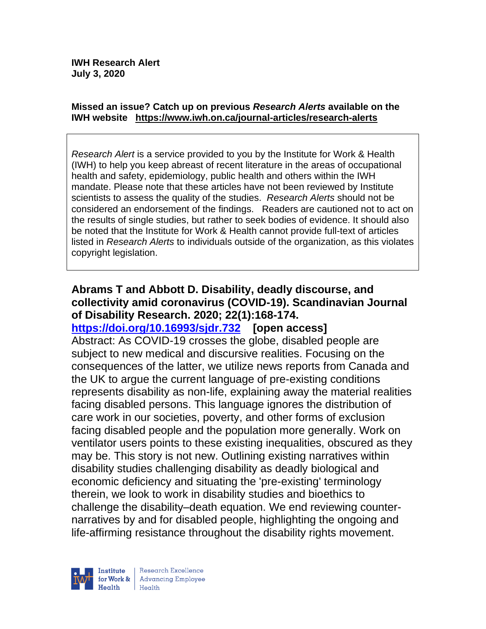#### **Missed an issue? Catch up on previous** *Research Alerts* **available on the [IWH website](http://www.iwh.on.ca/research-alerts) <https://www.iwh.on.ca/journal-articles/research-alerts>**

*Research Alert* is a service provided to you by the Institute for Work & Health (IWH) to help you keep abreast of recent literature in the areas of occupational health and safety, epidemiology, public health and others within the IWH mandate. Please note that these articles have not been reviewed by Institute scientists to assess the quality of the studies. *Research Alerts* should not be considered an endorsement of the findings. Readers are cautioned not to act on the results of single studies, but rather to seek bodies of evidence. It should also be noted that the Institute for Work & Health cannot provide full-text of articles listed in *Research Alerts* to individuals outside of the organization, as this violates copyright legislation.

### **Abrams T and Abbott D. Disability, deadly discourse, and collectivity amid coronavirus (COVID-19). Scandinavian Journal of Disability Research. 2020; 22(1):168-174.**

**<https://doi.org/10.16993/sjdr.732> [open access]** Abstract: As COVID-19 crosses the globe, disabled people are subject to new medical and discursive realities. Focusing on the consequences of the latter, we utilize news reports from Canada and the UK to argue the current language of pre-existing conditions represents disability as non-life, explaining away the material realities facing disabled persons. This language ignores the distribution of care work in our societies, poverty, and other forms of exclusion facing disabled people and the population more generally. Work on ventilator users points to these existing inequalities, obscured as they may be. This story is not new. Outlining existing narratives within disability studies challenging disability as deadly biological and economic deficiency and situating the 'pre-existing' terminology therein, we look to work in disability studies and bioethics to challenge the disability–death equation. We end reviewing counternarratives by and for disabled people, highlighting the ongoing and life-affirming resistance throughout the disability rights movement.

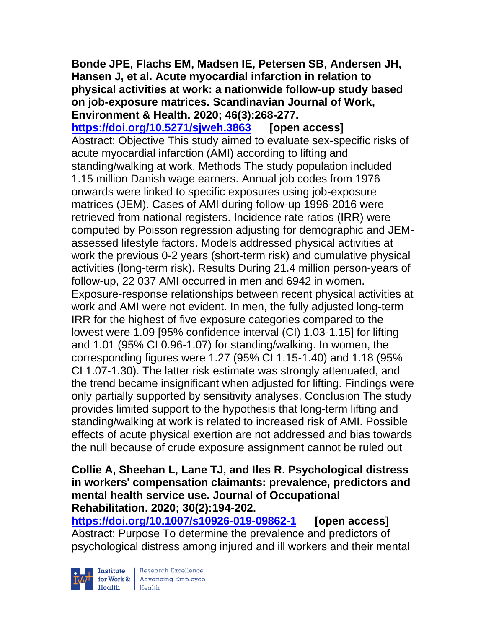### **Bonde JPE, Flachs EM, Madsen IE, Petersen SB, Andersen JH, Hansen J, et al. Acute myocardial infarction in relation to physical activities at work: a nationwide follow-up study based on job-exposure matrices. Scandinavian Journal of Work, Environment & Health. 2020; 46(3):268-277.**

**<https://doi.org/10.5271/sjweh.3863> [open access]** Abstract: Objective This study aimed to evaluate sex-specific risks of acute myocardial infarction (AMI) according to lifting and standing/walking at work. Methods The study population included 1.15 million Danish wage earners. Annual job codes from 1976 onwards were linked to specific exposures using job-exposure matrices (JEM). Cases of AMI during follow-up 1996-2016 were retrieved from national registers. Incidence rate ratios (IRR) were computed by Poisson regression adjusting for demographic and JEMassessed lifestyle factors. Models addressed physical activities at work the previous 0-2 years (short-term risk) and cumulative physical activities (long-term risk). Results During 21.4 million person-years of follow-up, 22 037 AMI occurred in men and 6942 in women. Exposure-response relationships between recent physical activities at work and AMI were not evident. In men, the fully adjusted long-term IRR for the highest of five exposure categories compared to the lowest were 1.09 [95% confidence interval (CI) 1.03-1.15] for lifting and 1.01 (95% CI 0.96-1.07) for standing/walking. In women, the corresponding figures were 1.27 (95% CI 1.15-1.40) and 1.18 (95% CI 1.07-1.30). The latter risk estimate was strongly attenuated, and the trend became insignificant when adjusted for lifting. Findings were only partially supported by sensitivity analyses. Conclusion The study provides limited support to the hypothesis that long-term lifting and standing/walking at work is related to increased risk of AMI. Possible effects of acute physical exertion are not addressed and bias towards the null because of crude exposure assignment cannot be ruled out

#### **Collie A, Sheehan L, Lane TJ, and Iles R. Psychological distress in workers' compensation claimants: prevalence, predictors and mental health service use. Journal of Occupational Rehabilitation. 2020; 30(2):194-202.**

**<https://doi.org/10.1007/s10926-019-09862-1> [open access]** Abstract: Purpose To determine the prevalence and predictors of psychological distress among injured and ill workers and their mental

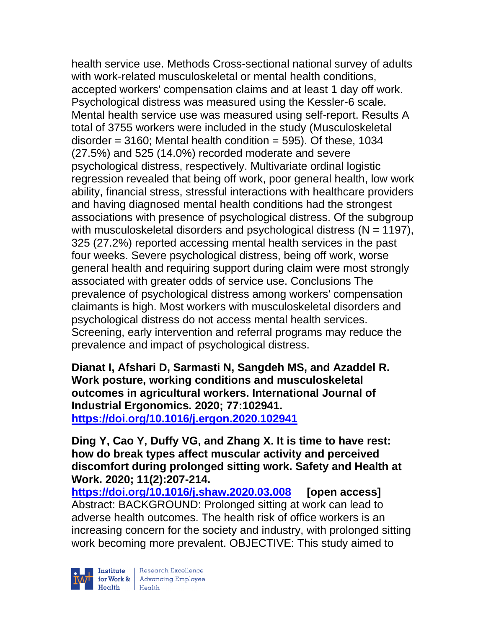health service use. Methods Cross-sectional national survey of adults with work-related musculoskeletal or mental health conditions, accepted workers' compensation claims and at least 1 day off work. Psychological distress was measured using the Kessler-6 scale. Mental health service use was measured using self-report. Results A total of 3755 workers were included in the study (Musculoskeletal disorder =  $3160$ ; Mental health condition =  $595$ ). Of these, 1034 (27.5%) and 525 (14.0%) recorded moderate and severe psychological distress, respectively. Multivariate ordinal logistic regression revealed that being off work, poor general health, low work ability, financial stress, stressful interactions with healthcare providers and having diagnosed mental health conditions had the strongest associations with presence of psychological distress. Of the subgroup with musculoskeletal disorders and psychological distress ( $N = 1197$ ), 325 (27.2%) reported accessing mental health services in the past four weeks. Severe psychological distress, being off work, worse general health and requiring support during claim were most strongly associated with greater odds of service use. Conclusions The prevalence of psychological distress among workers' compensation claimants is high. Most workers with musculoskeletal disorders and psychological distress do not access mental health services. Screening, early intervention and referral programs may reduce the prevalence and impact of psychological distress.

**Dianat I, Afshari D, Sarmasti N, Sangdeh MS, and Azaddel R. Work posture, working conditions and musculoskeletal outcomes in agricultural workers. International Journal of Industrial Ergonomics. 2020; 77:102941. <https://doi.org/10.1016/j.ergon.2020.102941>** 

**Ding Y, Cao Y, Duffy VG, and Zhang X. It is time to have rest: how do break types affect muscular activity and perceived discomfort during prolonged sitting work. Safety and Health at Work. 2020; 11(2):207-214.** 

**<https://doi.org/10.1016/j.shaw.2020.03.008> [open access]** Abstract: BACKGROUND: Prolonged sitting at work can lead to adverse health outcomes. The health risk of office workers is an increasing concern for the society and industry, with prolonged sitting work becoming more prevalent. OBJECTIVE: This study aimed to

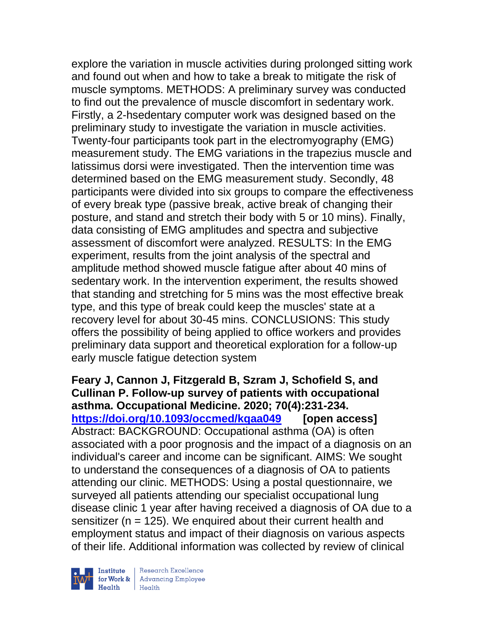explore the variation in muscle activities during prolonged sitting work and found out when and how to take a break to mitigate the risk of muscle symptoms. METHODS: A preliminary survey was conducted to find out the prevalence of muscle discomfort in sedentary work. Firstly, a 2-hsedentary computer work was designed based on the preliminary study to investigate the variation in muscle activities. Twenty-four participants took part in the electromyography (EMG) measurement study. The EMG variations in the trapezius muscle and latissimus dorsi were investigated. Then the intervention time was determined based on the EMG measurement study. Secondly, 48 participants were divided into six groups to compare the effectiveness of every break type (passive break, active break of changing their posture, and stand and stretch their body with 5 or 10 mins). Finally, data consisting of EMG amplitudes and spectra and subjective assessment of discomfort were analyzed. RESULTS: In the EMG experiment, results from the joint analysis of the spectral and amplitude method showed muscle fatigue after about 40 mins of sedentary work. In the intervention experiment, the results showed that standing and stretching for 5 mins was the most effective break type, and this type of break could keep the muscles' state at a recovery level for about 30-45 mins. CONCLUSIONS: This study offers the possibility of being applied to office workers and provides preliminary data support and theoretical exploration for a follow-up early muscle fatigue detection system

**Feary J, Cannon J, Fitzgerald B, Szram J, Schofield S, and Cullinan P. Follow-up survey of patients with occupational asthma. Occupational Medicine. 2020; 70(4):231-234. <https://doi.org/10.1093/occmed/kqaa049> [open access]** Abstract: BACKGROUND: Occupational asthma (OA) is often associated with a poor prognosis and the impact of a diagnosis on an individual's career and income can be significant. AIMS: We sought to understand the consequences of a diagnosis of OA to patients attending our clinic. METHODS: Using a postal questionnaire, we surveyed all patients attending our specialist occupational lung disease clinic 1 year after having received a diagnosis of OA due to a sensitizer ( $n = 125$ ). We enquired about their current health and employment status and impact of their diagnosis on various aspects of their life. Additional information was collected by review of clinical

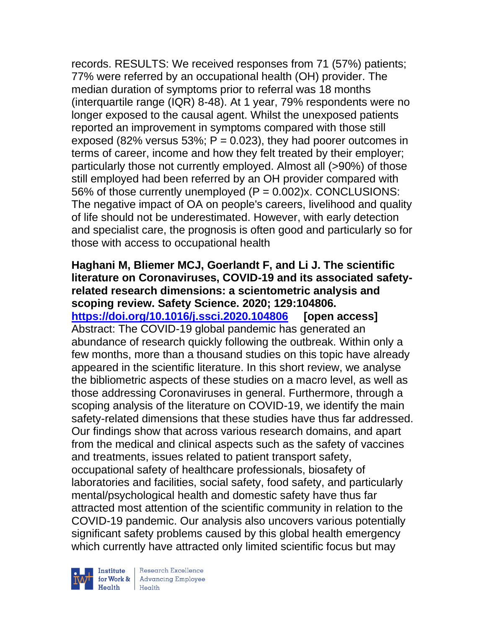records. RESULTS: We received responses from 71 (57%) patients; 77% were referred by an occupational health (OH) provider. The median duration of symptoms prior to referral was 18 months (interquartile range (IQR) 8-48). At 1 year, 79% respondents were no longer exposed to the causal agent. Whilst the unexposed patients reported an improvement in symptoms compared with those still exposed (82% versus 53%;  $P = 0.023$ ), they had poorer outcomes in terms of career, income and how they felt treated by their employer; particularly those not currently employed. Almost all (>90%) of those still employed had been referred by an OH provider compared with 56% of those currently unemployed  $(P = 0.002)x$ . CONCLUSIONS: The negative impact of OA on people's careers, livelihood and quality of life should not be underestimated. However, with early detection and specialist care, the prognosis is often good and particularly so for those with access to occupational health

**Haghani M, Bliemer MCJ, Goerlandt F, and Li J. The scientific literature on Coronaviruses, COVID-19 and its associated safetyrelated research dimensions: a scientometric analysis and scoping review. Safety Science. 2020; 129:104806. <https://doi.org/10.1016/j.ssci.2020.104806> [open access]** Abstract: The COVID-19 global pandemic has generated an abundance of research quickly following the outbreak. Within only a few months, more than a thousand studies on this topic have already appeared in the scientific literature. In this short review, we analyse the bibliometric aspects of these studies on a macro level, as well as those addressing Coronaviruses in general. Furthermore, through a scoping analysis of the literature on COVID-19, we identify the main safety-related dimensions that these studies have thus far addressed. Our findings show that across various research domains, and apart from the medical and clinical aspects such as the safety of vaccines and treatments, issues related to patient transport safety, occupational safety of healthcare professionals, biosafety of laboratories and facilities, social safety, food safety, and particularly mental/psychological health and domestic safety have thus far attracted most attention of the scientific community in relation to the COVID-19 pandemic. Our analysis also uncovers various potentially significant safety problems caused by this global health emergency which currently have attracted only limited scientific focus but may

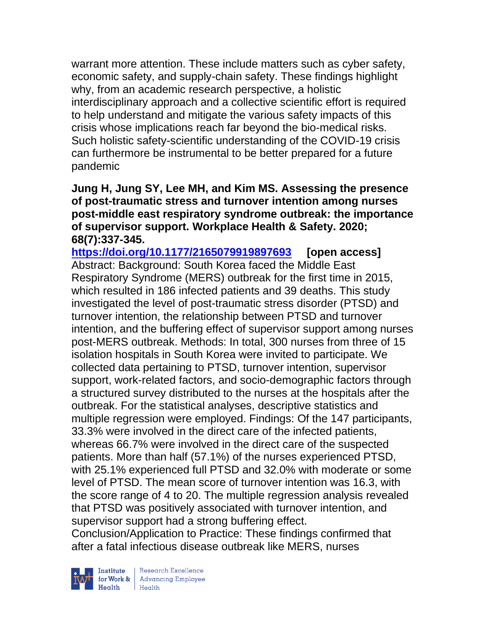warrant more attention. These include matters such as cyber safety, economic safety, and supply-chain safety. These findings highlight why, from an academic research perspective, a holistic interdisciplinary approach and a collective scientific effort is required to help understand and mitigate the various safety impacts of this crisis whose implications reach far beyond the bio-medical risks. Such holistic safety-scientific understanding of the COVID-19 crisis can furthermore be instrumental to be better prepared for a future pandemic

**Jung H, Jung SY, Lee MH, and Kim MS. Assessing the presence of post-traumatic stress and turnover intention among nurses post-middle east respiratory syndrome outbreak: the importance of supervisor support. Workplace Health & Safety. 2020; 68(7):337-345.** 

**<https://doi.org/10.1177/2165079919897693> [open access]** Abstract: Background: South Korea faced the Middle East Respiratory Syndrome (MERS) outbreak for the first time in 2015, which resulted in 186 infected patients and 39 deaths. This study investigated the level of post-traumatic stress disorder (PTSD) and turnover intention, the relationship between PTSD and turnover intention, and the buffering effect of supervisor support among nurses post-MERS outbreak. Methods: In total, 300 nurses from three of 15 isolation hospitals in South Korea were invited to participate. We collected data pertaining to PTSD, turnover intention, supervisor support, work-related factors, and socio-demographic factors through a structured survey distributed to the nurses at the hospitals after the outbreak. For the statistical analyses, descriptive statistics and multiple regression were employed. Findings: Of the 147 participants, 33.3% were involved in the direct care of the infected patients, whereas 66.7% were involved in the direct care of the suspected patients. More than half (57.1%) of the nurses experienced PTSD, with 25.1% experienced full PTSD and 32.0% with moderate or some level of PTSD. The mean score of turnover intention was 16.3, with the score range of 4 to 20. The multiple regression analysis revealed that PTSD was positively associated with turnover intention, and supervisor support had a strong buffering effect.

Conclusion/Application to Practice: These findings confirmed that after a fatal infectious disease outbreak like MERS, nurses

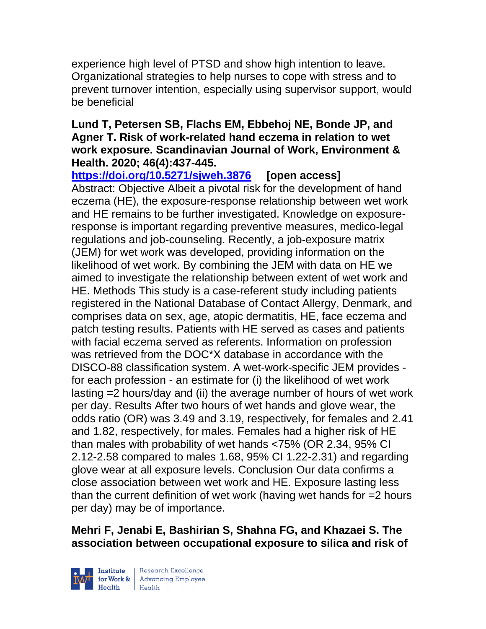experience high level of PTSD and show high intention to leave. Organizational strategies to help nurses to cope with stress and to prevent turnover intention, especially using supervisor support, would be beneficial

### **Lund T, Petersen SB, Flachs EM, Ebbehoj NE, Bonde JP, and Agner T. Risk of work-related hand eczema in relation to wet work exposure. Scandinavian Journal of Work, Environment & Health. 2020; 46(4):437-445.**

**<https://doi.org/10.5271/sjweh.3876> [open access]**

Abstract: Objective Albeit a pivotal risk for the development of hand eczema (HE), the exposure-response relationship between wet work and HE remains to be further investigated. Knowledge on exposureresponse is important regarding preventive measures, medico-legal regulations and job-counseling. Recently, a job-exposure matrix (JEM) for wet work was developed, providing information on the likelihood of wet work. By combining the JEM with data on HE we aimed to investigate the relationship between extent of wet work and HE. Methods This study is a case-referent study including patients registered in the National Database of Contact Allergy, Denmark, and comprises data on sex, age, atopic dermatitis, HE, face eczema and patch testing results. Patients with HE served as cases and patients with facial eczema served as referents. Information on profession was retrieved from the DOC\*X database in accordance with the DISCO-88 classification system. A wet-work-specific JEM provides for each profession - an estimate for (i) the likelihood of wet work lasting =2 hours/day and (ii) the average number of hours of wet work per day. Results After two hours of wet hands and glove wear, the odds ratio (OR) was 3.49 and 3.19, respectively, for females and 2.41 and 1.82, respectively, for males. Females had a higher risk of HE than males with probability of wet hands <75% (OR 2.34, 95% CI 2.12-2.58 compared to males 1.68, 95% CI 1.22-2.31) and regarding glove wear at all exposure levels. Conclusion Our data confirms a close association between wet work and HE. Exposure lasting less than the current definition of wet work (having wet hands for =2 hours per day) may be of importance.

## **Mehri F, Jenabi E, Bashirian S, Shahna FG, and Khazaei S. The association between occupational exposure to silica and risk of**

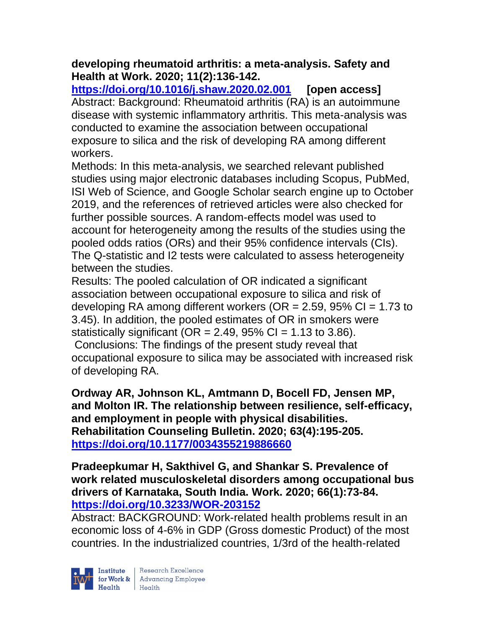## **developing rheumatoid arthritis: a meta-analysis. Safety and Health at Work. 2020; 11(2):136-142.**

**<https://doi.org/10.1016/j.shaw.2020.02.001> [open access]** Abstract: Background: Rheumatoid arthritis (RA) is an autoimmune disease with systemic inflammatory arthritis. This meta-analysis was conducted to examine the association between occupational exposure to silica and the risk of developing RA among different workers.

Methods: In this meta-analysis, we searched relevant published studies using major electronic databases including Scopus, PubMed, ISI Web of Science, and Google Scholar search engine up to October 2019, and the references of retrieved articles were also checked for further possible sources. A random-effects model was used to account for heterogeneity among the results of the studies using the pooled odds ratios (ORs) and their 95% confidence intervals (CIs). The Q-statistic and I2 tests were calculated to assess heterogeneity between the studies.

Results: The pooled calculation of OR indicated a significant association between occupational exposure to silica and risk of developing RA among different workers ( $OR = 2.59$ ,  $95\%$   $CI = 1.73$  to 3.45). In addition, the pooled estimates of OR in smokers were statistically significant ( $OR = 2.49$ ,  $95\%$  CI = 1.13 to 3.86). Conclusions: The findings of the present study reveal that occupational exposure to silica may be associated with increased risk of developing RA.

**Ordway AR, Johnson KL, Amtmann D, Bocell FD, Jensen MP, and Molton IR. The relationship between resilience, self-efficacy, and employment in people with physical disabilities. Rehabilitation Counseling Bulletin. 2020; 63(4):195-205. <https://doi.org/10.1177/0034355219886660>** 

**Pradeepkumar H, Sakthivel G, and Shankar S. Prevalence of work related musculoskeletal disorders among occupational bus drivers of Karnataka, South India. Work. 2020; 66(1):73-84. <https://doi.org/10.3233/WOR-203152>** 

Abstract: BACKGROUND: Work-related health problems result in an economic loss of 4-6% in GDP (Gross domestic Product) of the most countries. In the industrialized countries, 1/3rd of the health-related

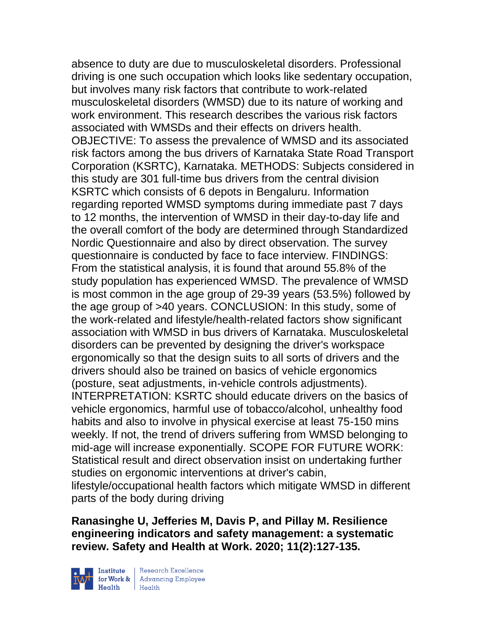absence to duty are due to musculoskeletal disorders. Professional driving is one such occupation which looks like sedentary occupation, but involves many risk factors that contribute to work-related musculoskeletal disorders (WMSD) due to its nature of working and work environment. This research describes the various risk factors associated with WMSDs and their effects on drivers health. OBJECTIVE: To assess the prevalence of WMSD and its associated risk factors among the bus drivers of Karnataka State Road Transport Corporation (KSRTC), Karnataka. METHODS: Subjects considered in this study are 301 full-time bus drivers from the central division KSRTC which consists of 6 depots in Bengaluru. Information regarding reported WMSD symptoms during immediate past 7 days to 12 months, the intervention of WMSD in their day-to-day life and the overall comfort of the body are determined through Standardized Nordic Questionnaire and also by direct observation. The survey questionnaire is conducted by face to face interview. FINDINGS: From the statistical analysis, it is found that around 55.8% of the study population has experienced WMSD. The prevalence of WMSD is most common in the age group of 29-39 years (53.5%) followed by the age group of >40 years. CONCLUSION: In this study, some of the work-related and lifestyle/health-related factors show significant association with WMSD in bus drivers of Karnataka. Musculoskeletal disorders can be prevented by designing the driver's workspace ergonomically so that the design suits to all sorts of drivers and the drivers should also be trained on basics of vehicle ergonomics (posture, seat adjustments, in-vehicle controls adjustments). INTERPRETATION: KSRTC should educate drivers on the basics of vehicle ergonomics, harmful use of tobacco/alcohol, unhealthy food habits and also to involve in physical exercise at least 75-150 mins weekly. If not, the trend of drivers suffering from WMSD belonging to mid-age will increase exponentially. SCOPE FOR FUTURE WORK: Statistical result and direct observation insist on undertaking further studies on ergonomic interventions at driver's cabin, lifestyle/occupational health factors which mitigate WMSD in different parts of the body during driving

**Ranasinghe U, Jefferies M, Davis P, and Pillay M. Resilience engineering indicators and safety management: a systematic review. Safety and Health at Work. 2020; 11(2):127-135.** 

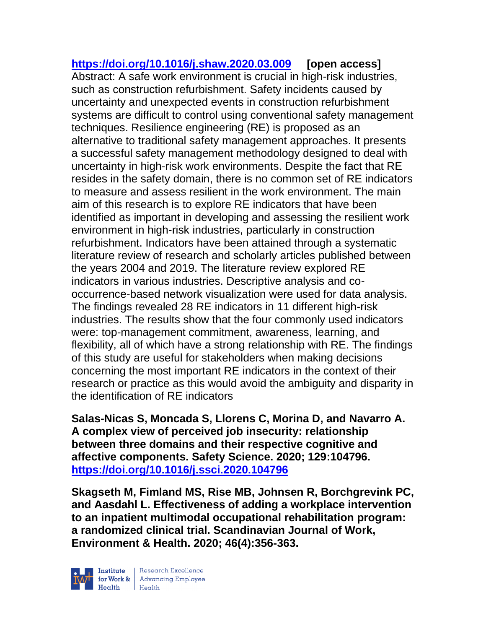**<https://doi.org/10.1016/j.shaw.2020.03.009> [open access]** Abstract: A safe work environment is crucial in high-risk industries, such as construction refurbishment. Safety incidents caused by uncertainty and unexpected events in construction refurbishment systems are difficult to control using conventional safety management techniques. Resilience engineering (RE) is proposed as an alternative to traditional safety management approaches. It presents a successful safety management methodology designed to deal with uncertainty in high-risk work environments. Despite the fact that RE resides in the safety domain, there is no common set of RE indicators to measure and assess resilient in the work environment. The main aim of this research is to explore RE indicators that have been identified as important in developing and assessing the resilient work environment in high-risk industries, particularly in construction refurbishment. Indicators have been attained through a systematic literature review of research and scholarly articles published between the years 2004 and 2019. The literature review explored RE indicators in various industries. Descriptive analysis and cooccurrence-based network visualization were used for data analysis. The findings revealed 28 RE indicators in 11 different high-risk industries. The results show that the four commonly used indicators were: top-management commitment, awareness, learning, and flexibility, all of which have a strong relationship with RE. The findings of this study are useful for stakeholders when making decisions concerning the most important RE indicators in the context of their research or practice as this would avoid the ambiguity and disparity in the identification of RE indicators

**Salas-Nicas S, Moncada S, Llorens C, Morina D, and Navarro A. A complex view of perceived job insecurity: relationship between three domains and their respective cognitive and affective components. Safety Science. 2020; 129:104796. <https://doi.org/10.1016/j.ssci.2020.104796>** 

**Skagseth M, Fimland MS, Rise MB, Johnsen R, Borchgrevink PC, and Aasdahl L. Effectiveness of adding a workplace intervention to an inpatient multimodal occupational rehabilitation program: a randomized clinical trial. Scandinavian Journal of Work, Environment & Health. 2020; 46(4):356-363.** 

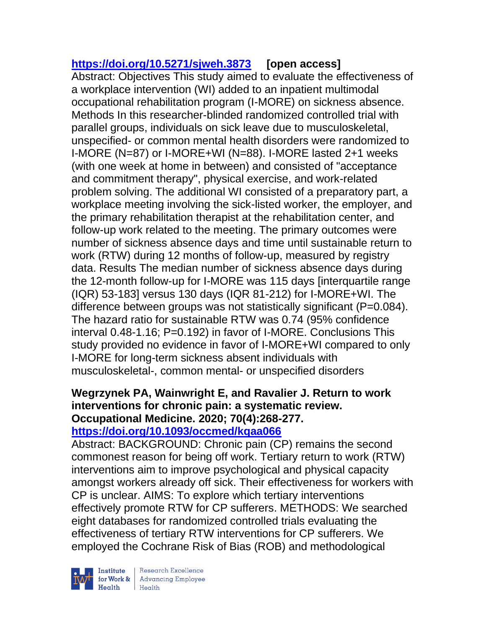# **<https://doi.org/10.5271/sjweh.3873> [open access]**

Abstract: Objectives This study aimed to evaluate the effectiveness of a workplace intervention (WI) added to an inpatient multimodal occupational rehabilitation program (I-MORE) on sickness absence. Methods In this researcher-blinded randomized controlled trial with parallel groups, individuals on sick leave due to musculoskeletal, unspecified- or common mental health disorders were randomized to I-MORE (N=87) or I-MORE+WI (N=88). I-MORE lasted 2+1 weeks (with one week at home in between) and consisted of "acceptance and commitment therapy", physical exercise, and work-related problem solving. The additional WI consisted of a preparatory part, a workplace meeting involving the sick-listed worker, the employer, and the primary rehabilitation therapist at the rehabilitation center, and follow-up work related to the meeting. The primary outcomes were number of sickness absence days and time until sustainable return to work (RTW) during 12 months of follow-up, measured by registry data. Results The median number of sickness absence days during the 12-month follow-up for I-MORE was 115 days [interquartile range (IQR) 53-183] versus 130 days (IQR 81-212) for I-MORE+WI. The difference between groups was not statistically significant (P=0.084). The hazard ratio for sustainable RTW was 0.74 (95% confidence interval 0.48-1.16; P=0.192) in favor of I-MORE. Conclusions This study provided no evidence in favor of I-MORE+WI compared to only I-MORE for long-term sickness absent individuals with musculoskeletal-, common mental- or unspecified disorders

### **Wegrzynek PA, Wainwright E, and Ravalier J. Return to work interventions for chronic pain: a systematic review. Occupational Medicine. 2020; 70(4):268-277. <https://doi.org/10.1093/occmed/kqaa066>**

Abstract: BACKGROUND: Chronic pain (CP) remains the second commonest reason for being off work. Tertiary return to work (RTW) interventions aim to improve psychological and physical capacity amongst workers already off sick. Their effectiveness for workers with CP is unclear. AIMS: To explore which tertiary interventions effectively promote RTW for CP sufferers. METHODS: We searched eight databases for randomized controlled trials evaluating the effectiveness of tertiary RTW interventions for CP sufferers. We employed the Cochrane Risk of Bias (ROB) and methodological



 $\begin{tabular}{|l|} Institute & Research Excellence \\ \hline for Work & Advancing Employee \\ Health & Health \\ \end{tabular}$